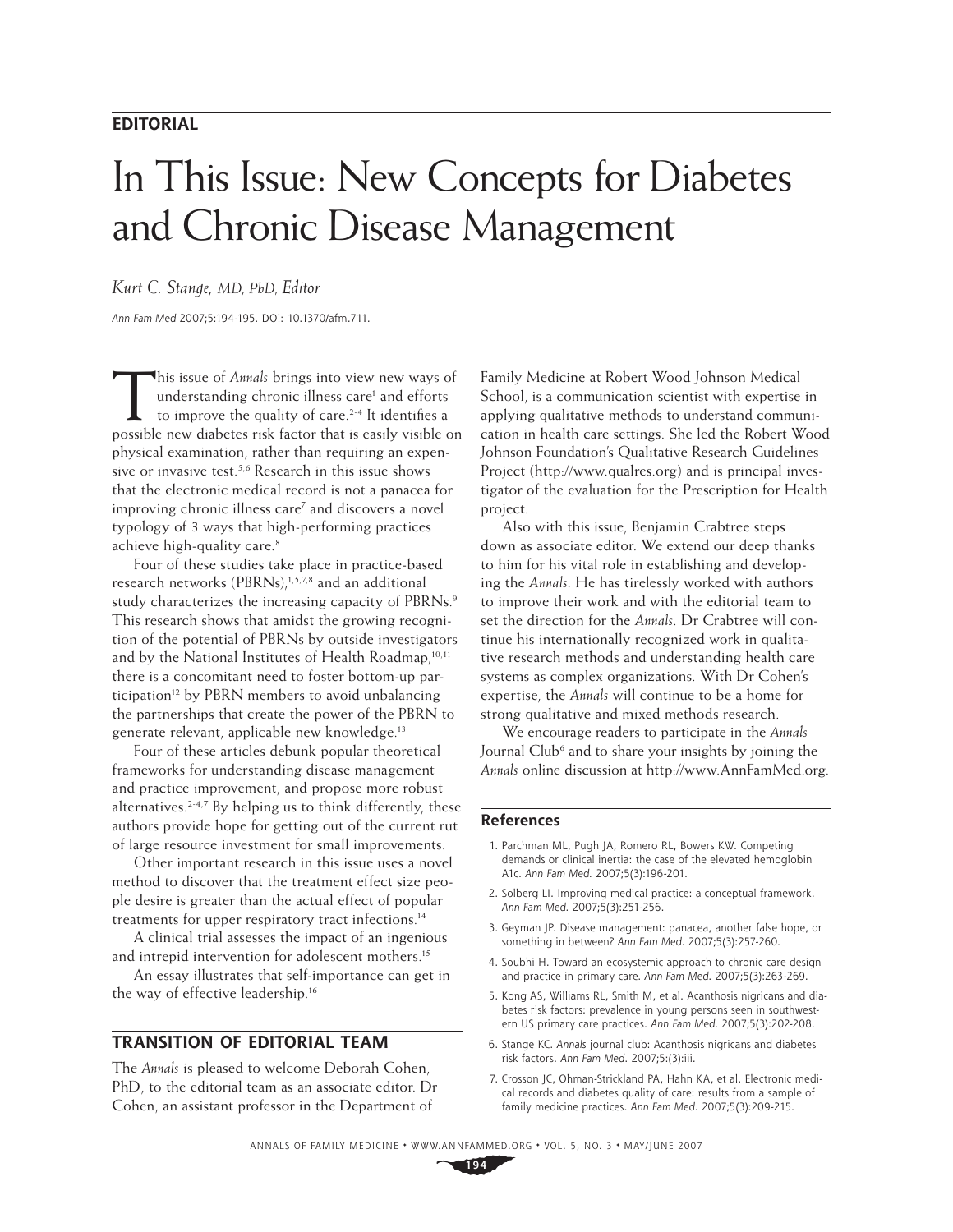### **EDITORIAL**

## In This Issue: New Concepts for Diabetes and Chronic Disease Management

#### *Kurt C. Stange, MD, PhD, Editor*

Ann Fam Med 2007;5:194-195. DOI: 10.1370/afm.711.

This issue of *Annals* brings into view new ways of<br>understanding chronic illness care<sup>1</sup> and efforts<br>to improve the quality of care.<sup>2-4</sup> It identifies a understanding chronic illness care<sup>1</sup> and efforts to improve the quality of care.<sup>2-4</sup> It identifies a possible new diabetes risk factor that is easily visible on physical examination, rather than requiring an expensive or invasive test.<sup>5,6</sup> Research in this issue shows that the electronic medical record is not a panacea for improving chronic illness care<sup>7</sup> and discovers a novel typology of 3 ways that high-performing practices achieve high-quality care.<sup>8</sup>

Four of these studies take place in practice-based research networks (PBRNs),<sup>1,5,7,8</sup> and an additional study characterizes the increasing capacity of PBRNs.<sup>9</sup> This research shows that amidst the growing recognition of the potential of PBRNs by outside investigators and by the National Institutes of Health Roadmap,<sup>10,11</sup> there is a concomitant need to foster bottom-up participation<sup>12</sup> by PBRN members to avoid unbalancing the partnerships that create the power of the PBRN to generate relevant, applicable new knowledge.<sup>13</sup>

Four of these articles debunk popular theoretical frameworks for understanding disease management and practice improvement, and propose more robust alternatives. $2-4,7$  By helping us to think differently, these authors provide hope for getting out of the current rut of large resource investment for small improvements.

Other important research in this issue uses a novel method to discover that the treatment effect size people desire is greater than the actual effect of popular treatments for upper respiratory tract infections.14

A clinical trial assesses the impact of an ingenious and intrepid intervention for adolescent mothers.<sup>15</sup>

An essay illustrates that self-importance can get in the way of effective leadership.<sup>16</sup>

#### **TRANSITION OF EDITORIAL TEAM**

The *Annals* is pleased to welcome Deborah Cohen, PhD, to the editorial team as an associate editor. Dr Cohen, an assistant professor in the Department of

Family Medicine at Robert Wood Johnson Medical School, is a communication scientist with expertise in applying qualitative methods to understand communication in health care settings. She led the Robert Wood Johnson Foundation's Qualitative Research Guidelines Project (http://www.qualres.org) and is principal investigator of the evaluation for the Prescription for Health project.

Also with this issue, Benjamin Crabtree steps down as associate editor. We extend our deep thanks to him for his vital role in establishing and developing the *Annals*. He has tirelessly worked with authors to improve their work and with the editorial team to set the direction for the *Annals*. Dr Crabtree will continue his internationally recognized work in qualitative research methods and understanding health care systems as complex organizations. With Dr Cohen's expertise, the *Annals* will continue to be a home for strong qualitative and mixed methods research.

We encourage readers to participate in the *Annals* Journal Club<sup>6</sup> and to share your insights by joining the *Annals* online discussion at http://www.AnnFamMed.org.

#### **References**

- 1. Parchman ML, Pugh JA, Romero RL, Bowers KW. Competing demands or clinical inertia: the case of the elevated hemoglobin A1c. Ann Fam Med. 2007;5(3):196-201.
- 2. Solberg LI. Improving medical practice: a conceptual framework. Ann Fam Med. 2007;5(3):251-256.
- 3. Geyman JP. Disease management: panacea, another false hope, or something in between? Ann Fam Med. 2007;5(3):257-260.
- 4. Soubhi H. Toward an ecosystemic approach to chronic care design and practice in primary care. Ann Fam Med. 2007;5(3):263-269.
- 5. Kong AS, Williams RL, Smith M, et al. Acanthosis nigricans and diabetes risk factors: prevalence in young persons seen in southwestern US primary care practices. Ann Fam Med. 2007;5(3):202-208.
- 6. Stange KC. Annals journal club: Acanthosis nigricans and diabetes risk factors. Ann Fam Med. 2007;5:(3):iii.
- 7. Crosson JC, Ohman-Strickland PA, Hahn KA, et al. Electronic medical records and diabetes quality of care: results from a sample of family medicine practices. Ann Fam Med. 2007;5(3):209-215.

ANNALS OF FAMILY MEDICINE ✦ WWW.ANNFAMMED.ORG ✦ VOL. 5, NO. 3 ✦ MAY/JUNE 2007